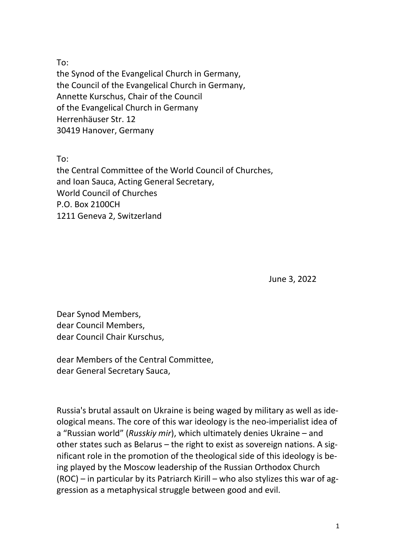To:

the Synod of the Evangelical Church in Germany, the Council of the Evangelical Church in Germany, Annette Kurschus, Chair of the Council of the Evangelical Church in Germany Herrenhäuser Str. 12 30419 Hanover, Germany

To:

the Central Committee of the World Council of Churches, and Ioan Sauca, Acting General Secretary, World Council of Churches P.O. Box 2100CH 1211 Geneva 2, Switzerland

June 3, 2022

Dear Synod Members, dear Council Members, dear Council Chair Kurschus,

dear Members of the Central Committee, dear General Secretary Sauca,

Russia's brutal assault on Ukraine is being waged by military as well as ideological means. The core of this war ideology is the neo-imperialist idea of a "Russian world" (*Russkiy mir*), which ultimately denies Ukraine – and other states such as Belarus – the right to exist as sovereign nations. A significant role in the promotion of the theological side of this ideology is being played by the Moscow leadership of the Russian Orthodox Church (ROC) – in particular by its Patriarch Kirill – who also stylizes this war of aggression as a metaphysical struggle between good and evil.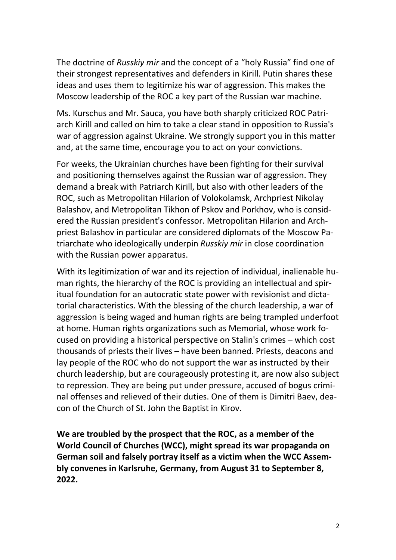The doctrine of *Russkiy mir* and the concept of a "holy Russia" find one of their strongest representatives and defenders in Kirill. Putin shares these ideas and uses them to legitimize his war of aggression. This makes the Moscow leadership of the ROC a key part of the Russian war machine.

Ms. Kurschus and Mr. Sauca, you have both sharply criticized ROC Patriarch Kirill and called on him to take a clear stand in opposition to Russia's war of aggression against Ukraine. We strongly support you in this matter and, at the same time, encourage you to act on your convictions.

For weeks, the Ukrainian churches have been fighting for their survival and positioning themselves against the Russian war of aggression. They demand a break with Patriarch Kirill, but also with other leaders of the ROC, such as Metropolitan Hilarion of Volokolamsk, Archpriest Nikolay Balashov, and Metropolitan Tikhon of Pskov and Porkhov, who is considered the Russian president's confessor. Metropolitan Hilarion and Archpriest Balashov in particular are considered diplomats of the Moscow Patriarchate who ideologically underpin *Russkiy mir* in close coordination with the Russian power apparatus.

With its legitimization of war and its rejection of individual, inalienable human rights, the hierarchy of the ROC is providing an intellectual and spiritual foundation for an autocratic state power with revisionist and dictatorial characteristics. With the blessing of the church leadership, a war of aggression is being waged and human rights are being trampled underfoot at home. Human rights organizations such as Memorial, whose work focused on providing a historical perspective on Stalin's crimes – which cost thousands of priests their lives – have been banned. Priests, deacons and lay people of the ROC who do not support the war as instructed by their church leadership, but are courageously protesting it, are now also subject to repression. They are being put under pressure, accused of bogus criminal offenses and relieved of their duties. One of them is Dimitri Baev, deacon of the Church of St. John the Baptist in Kirov.

**We are troubled by the prospect that the ROC, as a member of the World Council of Churches (WCC), might spread its war propaganda on German soil and falsely portray itself as a victim when the WCC Assembly convenes in Karlsruhe, Germany, from August 31 to September 8, 2022.**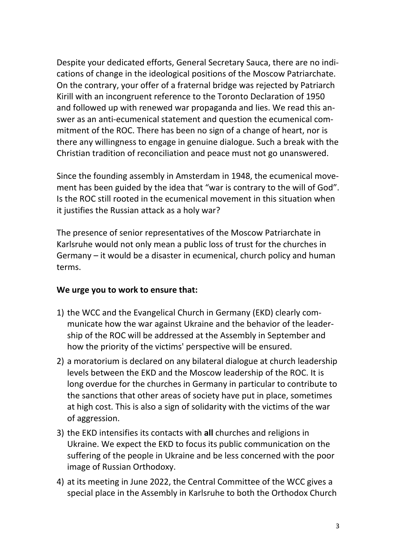Despite your dedicated efforts, General Secretary Sauca, there are no indications of change in the ideological positions of the Moscow Patriarchate. On the contrary, your offer of a fraternal bridge was rejected by Patriarch Kirill with an incongruent reference to the Toronto Declaration of 1950 and followed up with renewed war propaganda and lies. We read this answer as an anti-ecumenical statement and question the ecumenical commitment of the ROC. There has been no sign of a change of heart, nor is there any willingness to engage in genuine dialogue. Such a break with the Christian tradition of reconciliation and peace must not go unanswered.

Since the founding assembly in Amsterdam in 1948, the ecumenical movement has been guided by the idea that "war is contrary to the will of God". Is the ROC still rooted in the ecumenical movement in this situation when it justifies the Russian attack as a holy war?

The presence of senior representatives of the Moscow Patriarchate in Karlsruhe would not only mean a public loss of trust for the churches in Germany – it would be a disaster in ecumenical, church policy and human terms.

## **We urge you to work to ensure that:**

- 1) the WCC and the Evangelical Church in Germany (EKD) clearly communicate how the war against Ukraine and the behavior of the leadership of the ROC will be addressed at the Assembly in September and how the priority of the victims' perspective will be ensured.
- 2) a moratorium is declared on any bilateral dialogue at church leadership levels between the EKD and the Moscow leadership of the ROC. It is long overdue for the churches in Germany in particular to contribute to the sanctions that other areas of society have put in place, sometimes at high cost. This is also a sign of solidarity with the victims of the war of aggression.
- 3) the EKD intensifies its contacts with **all** churches and religions in Ukraine. We expect the EKD to focus its public communication on the suffering of the people in Ukraine and be less concerned with the poor image of Russian Orthodoxy.
- 4) at its meeting in June 2022, the Central Committee of the WCC gives a special place in the Assembly in Karlsruhe to both the Orthodox Church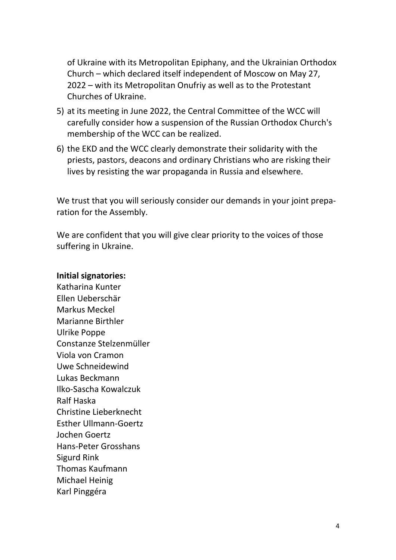of Ukraine with its Metropolitan Epiphany, and the Ukrainian Orthodox Church – which declared itself independent of Moscow on May 27, 2022 – with its Metropolitan Onufriy as well as to the Protestant Churches of Ukraine.

- 5) at its meeting in June 2022, the Central Committee of the WCC will carefully consider how a suspension of the Russian Orthodox Church's membership of the WCC can be realized.
- 6) the EKD and the WCC clearly demonstrate their solidarity with the priests, pastors, deacons and ordinary Christians who are risking their lives by resisting the war propaganda in Russia and elsewhere.

We trust that you will seriously consider our demands in your joint preparation for the Assembly.

We are confident that you will give clear priority to the voices of those suffering in Ukraine.

## **Initial signatories:**

Katharina Kunter Ellen Ueberschär Markus Meckel Marianne Birthler Ulrike Poppe Constanze Stelzenmüller Viola von Cramon Uwe Schneidewind Lukas Beckmann Ilko-Sascha Kowalczuk Ralf Haska Christine Lieberknecht Esther Ullmann-Goertz Jochen Goertz Hans-Peter Grosshans Sigurd Rink Thomas Kaufmann Michael Heinig Karl Pinggéra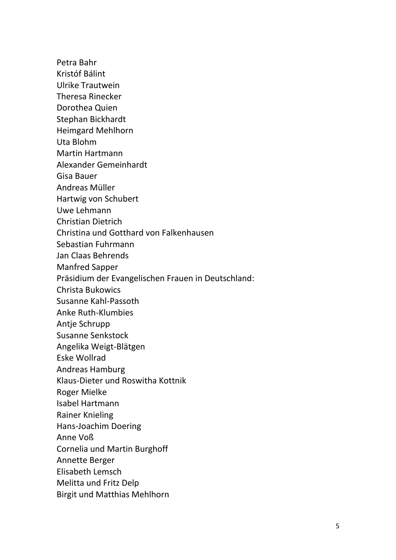Petra Bahr

Kristóf Bálint

Ulrike Trautwein

Theresa Rinecker

Dorothea Quien

Stephan Bickhardt

Heimgard Mehlhorn

Uta Blohm

Martin Hartmann

Alexander Gemeinhardt

Gisa Bauer

Andreas Müller

Hartwig von Schubert

Uwe Lehmann

Christian Dietrich

Christina und Gotthard von Falkenhausen

Sebastian Fuhrmann

Jan Claas Behrends

Manfred Sapper

Präsidium der Evangelischen Frauen in Deutschland:

Christa Bukowics

Susanne Kahl-Passoth

Anke Ruth-Klumbies

Antje Schrupp

Susanne Senkstock

Angelika Weigt-Blätgen

Eske Wollrad

Andreas Hamburg

Klaus-Dieter und Roswitha Kottnik

Roger Mielke

Isabel Hartmann

Rainer Knieling

Hans-Joachim Doering

Anne Voß

Cornelia und Martin Burghoff

Annette Berger

Elisabeth Lemsch

Melitta und Fritz Delp

Birgit und Matthias Mehlhorn